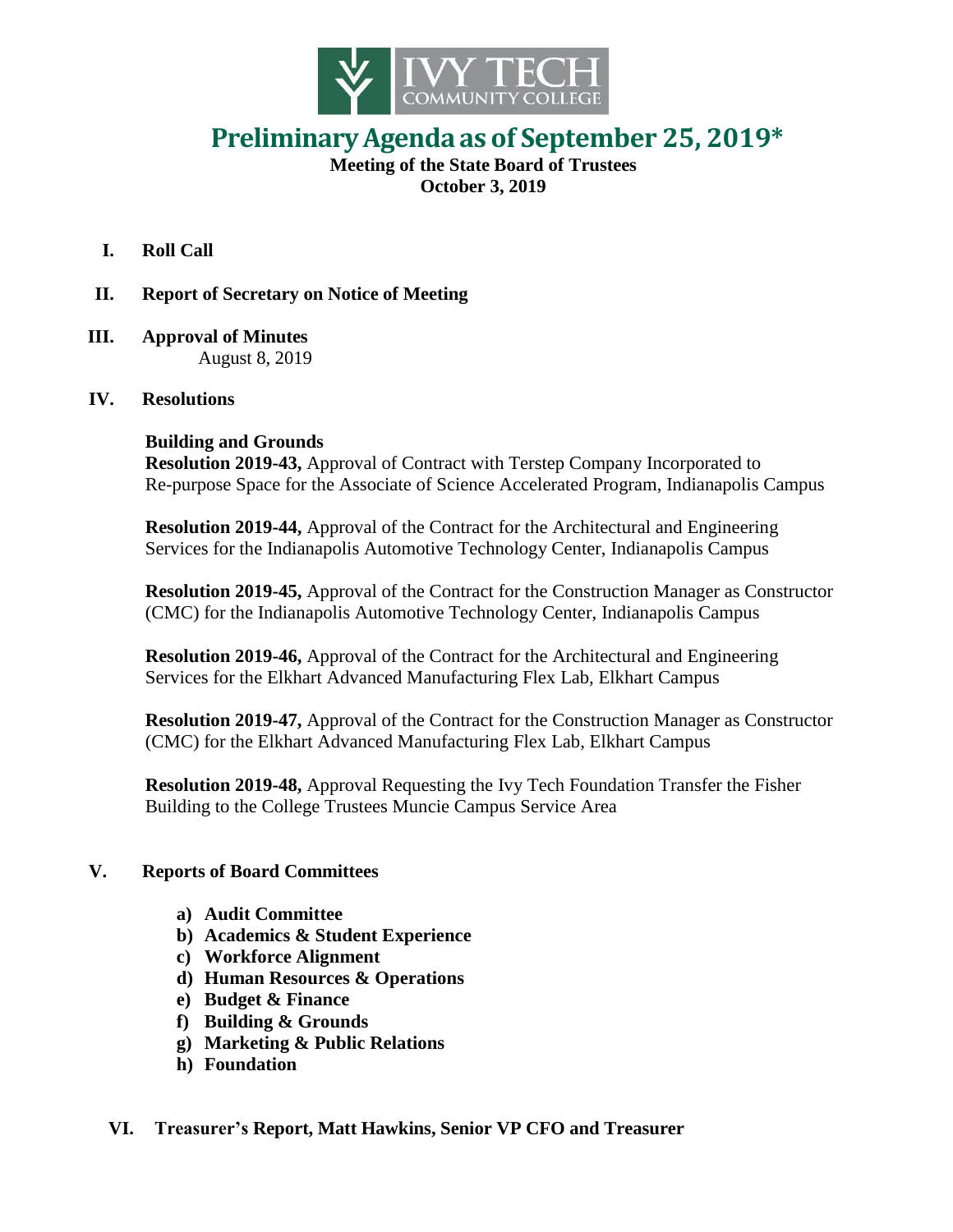

# **PreliminaryAgenda as of September 25, 2019\***

**Meeting of the State Board of Trustees October 3, 2019**

- **I. Roll Call**
- **II. Report of Secretary on Notice of Meeting**
- **III. Approval of Minutes** August 8, 2019

## **IV. Resolutions**

## **Building and Grounds**

 **Resolution 2019-43,** Approval of Contract with Terstep Company Incorporated to Re-purpose Space for the Associate of Science Accelerated Program, Indianapolis Campus

 **Resolution 2019-44,** Approval of the Contract for the Architectural and Engineering Services for the Indianapolis Automotive Technology Center, Indianapolis Campus

 **Resolution 2019-45,** Approval of the Contract for the Construction Manager as Constructor (CMC) for the Indianapolis Automotive Technology Center, Indianapolis Campus

 **Resolution 2019-46,** Approval of the Contract for the Architectural and Engineering Services for the Elkhart Advanced Manufacturing Flex Lab, Elkhart Campus

 **Resolution 2019-47,** Approval of the Contract for the Construction Manager as Constructor (CMC) for the Elkhart Advanced Manufacturing Flex Lab, Elkhart Campus

 **Resolution 2019-48,** Approval Requesting the Ivy Tech Foundation Transfer the Fisher Building to the College Trustees Muncie Campus Service Area

#### **V. Reports of Board Committees**

- **a) Audit Committee**
- **b) Academics & Student Experience**
- **c) Workforce Alignment**
- **d) Human Resources & Operations**
- **e) Budget & Finance**
- **f) Building & Grounds**
- **g) Marketing & Public Relations**
- **h) Foundation**

#### **VI. Treasurer's Report, Matt Hawkins, Senior VP CFO and Treasurer**